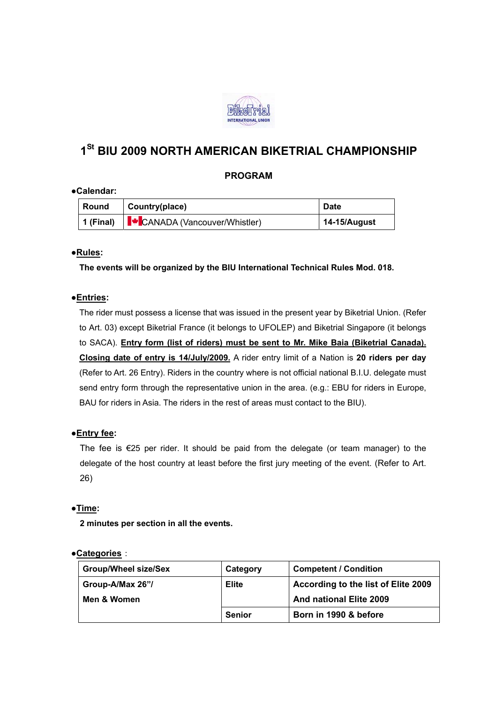

# **1St BIU 2009 NORTH AMERICAN BIKETRIAL CHAMPIONSHIP**

## **PROGRAM**

#### **●Calendar:**

| Round | Country(place)                                                  | <b>Date</b>     |
|-------|-----------------------------------------------------------------|-----------------|
|       | 1 (Final) <sup> </sup> <del>↓</del> CANADA (Vancouver/Whistler) | $14-15/A$ ugust |

### ●**Rules:**

 **The events will be organized by the BIU International Technical Rules Mod. 018.** 

#### ●**Entries:**

 The rider must possess a license that was issued in the present year by Biketrial Union. (Refer to Art. 03) except Biketrial France (it belongs to UFOLEP) and Biketrial Singapore (it belongs to SACA). **Entry form (list of riders) must be sent to Mr. Mike Baia (Biketrial Canada). Closing date of entry is 14/July/2009.** A rider entry limit of a Nation is **20 riders per day**  (Refer to Art. 26 Entry). Riders in the country where is not official national B.I.U. delegate must send entry form through the representative union in the area. (e.g.: EBU for riders in Europe, BAU for riders in Asia. The riders in the rest of areas must contact to the BIU).

#### ●**Entry fee:**

The fee is  $E$ 25 per rider. It should be paid from the delegate (or team manager) to the delegate of the host country at least before the first jury meeting of the event. (Refer to Art. 26)

#### ●**Time:**

 **2 minutes per section in all the events.** 

#### ●**Categories**:

| <b>Group/Wheel size/Sex</b> | Category      | <b>Competent / Condition</b>        |
|-----------------------------|---------------|-------------------------------------|
| Group-A/Max 26"/            | <b>Elite</b>  | According to the list of Elite 2009 |
| Men & Women                 |               | And national Elite 2009             |
|                             | <b>Senior</b> | Born in 1990 & before               |